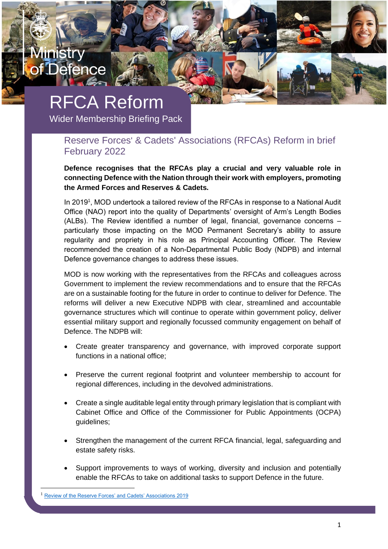# RFCA Reform

inistr

lefence

Wider Membership Briefing Pack

### Reserve Forces' & Cadets' Associations (RFCAs) Reform in brief February 2022

**Defence recognises that the RFCAs play a crucial and very valuable role in connecting Defence with the Nation through their work with employers, promoting the Armed Forces and Reserves & Cadets.**

In 2019<sup>1</sup>, MOD undertook a tailored review of the RFCAs in response to a National Audit Office (NAO) report into the quality of Departments' oversight of Arm's Length Bodies (ALBs). The Review identified a number of legal, financial, governance concerns – particularly those impacting on the MOD Permanent Secretary's ability to assure regularity and propriety in his role as Principal Accounting Officer. The Review recommended the creation of a Non-Departmental Public Body (NDPB) and internal Defence governance changes to address these issues.

MOD is now working with the representatives from the RFCAs and colleagues across Government to implement the review recommendations and to ensure that the RFCAs are on a sustainable footing for the future in order to continue to deliver for Defence. The reforms will deliver a new Executive NDPB with clear, streamlined and accountable governance structures which will continue to operate within government policy, deliver essential military support and regionally focussed community engagement on behalf of Defence. The NDPB will:

- Create greater transparency and governance, with improved corporate support functions in a national office;
- Preserve the current regional footprint and volunteer membership to account for regional differences, including in the devolved administrations.
- Create a single auditable legal entity through primary legislation that is compliant with Cabinet Office and Office of the Commissioner for Public Appointments (OCPA) guidelines;
- Strengthen the management of the current RFCA financial, legal, safeguarding and estate safety risks.
- Support improvements to ways of working, diversity and inclusion and potentially enable the RFCAs to take on additional tasks to support Defence in the future.

[Review of the Reserve Forces' and Cadets' Associations 2019](https://www.gov.uk/government/publications/review-of-the-reserve-forces-cadets-associations-2019)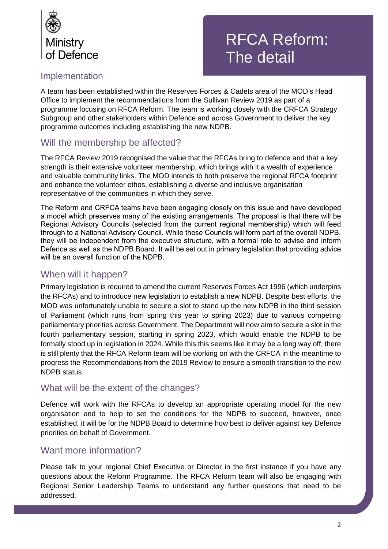

## RFCA Reform: The detail

## Implementation

A team has been established within the Reserves Forces & Cadets area of the MOD's Head Office to implement the recommendations from the Sullivan Review 2019 as part of a programme focusing on RFCA Reform. The team is working closely with the CRFCA Strategy Subgroup and other stakeholders within Defence and across Government to deliver the key programme outcomes including establishing the new NDPB.

## Will the membership be affected?

The RFCA Review 2019 recognised the value that the RFCAs bring to defence and that a key strength is their extensive volunteer membership, which brings with it a wealth of experience and valuable community links. The MOD intends to both preserve the regional RFCA footprint and enhance the volunteer ethos, establishing a diverse and inclusive organisation representative of the communities in which they serve.

The Reform and CRFCA teams have been engaging closely on this issue and have developed a model which preserves many of the existing arrangements. The proposal is that there will be Regional Advisory Councils (selected from the current regional membership) which will feed through to a National Advisory Council. While these Councils will form part of the overall NDPB, they will be independent from the executive structure, with a formal role to advise and inform Defence as well as the NDPB Board. It will be set out in primary legislation that providing advice will be an overall function of the NDPB.

## When will it happen?

Primary legislation is required to amend the current Reserves Forces Act 1996 (which underpins the RFCAs) and to introduce new legislation to establish a new NDPB. Despite best efforts, the MOD was unfortunately unable to secure a slot to stand up the new NDPB in the third session of Parliament (which runs from spring this year to spring 2023) due to various competing parliamentary priorities across Government. The Department will now aim to secure a slot in the fourth parliamentary session, starting in spring 2023, which would enable the NDPB to be formally stood up in legislation in 2024. While this this seems like it may be a long way off, there is still plenty that the RFCA Reform team will be working on with the CRFCA in the meantime to progress the Recommendations from the 2019 Review to ensure a smooth transition to the new NDPB status.

### What will be the extent of the changes?

Defence will work with the RFCAs to develop an appropriate operating model for the new organisation and to help to set the conditions for the NDPB to succeed, however, once established, it will be for the NDPB Board to determine how best to deliver against key Defence priorities on behalf of Government.

## Want more information?

Please talk to your regional Chief Executive or Director in the first instance if you have any questions about the Reform Programme. The RFCA Reform team will also be engaging with Regional Senior Leadership Teams to understand any further questions that need to be addressed.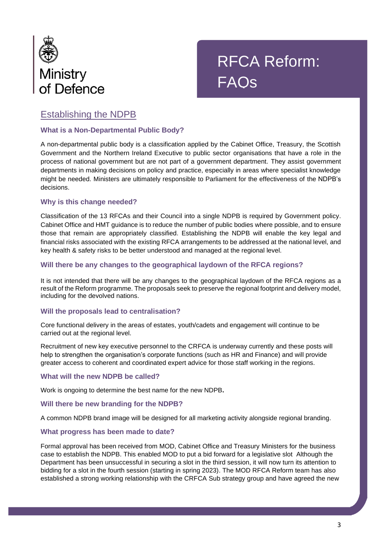

## RFCA Reform: FAQs

## Establishing the NDPB

#### **What is a Non-Departmental Public Body?**

A non-departmental public body is a classification applied by the Cabinet Office, Treasury, the Scottish Government and the Northern Ireland Executive to public sector organisations that have a role in the process of national government but are not part of a government department. They assist government departments in making decisions on policy and practice, especially in areas where specialist knowledge might be needed. Ministers are ultimately responsible to Parliament for the effectiveness of the NDPB's decisions.

#### **Why is this change needed?**

Classification of the 13 RFCAs and their Council into a single NDPB is required by Government policy. Cabinet Office and HMT guidance is to reduce the number of public bodies where possible, and to ensure those that remain are appropriately classified. Establishing the NDPB will enable the key legal and financial risks associated with the existing RFCA arrangements to be addressed at the national level, and key health & safety risks to be better understood and managed at the regional level.

#### **Will there be any changes to the geographical laydown of the RFCA regions?**

It is not intended that there will be any changes to the geographical laydown of the RFCA regions as a result of the Reform programme. The proposals seek to preserve the regional footprint and delivery model, including for the devolved nations.

#### **Will the proposals lead to centralisation?**

Core functional delivery in the areas of estates, youth/cadets and engagement will continue to be carried out at the regional level.

Recruitment of new key executive personnel to the CRFCA is underway currently and these posts will help to strengthen the organisation's corporate functions (such as HR and Finance) and will provide greater access to coherent and coordinated expert advice for those staff working in the regions.

#### **What will the new NDPB be called?**

Work is ongoing to determine the best name for the new NDPB**.**

#### **Will there be new branding for the NDPB?**

A common NDPB brand image will be designed for all marketing activity alongside regional branding.

#### **What progress has been made to date?**

Formal approval has been received from MOD, Cabinet Office and Treasury Ministers for the business case to establish the NDPB. This enabled MOD to put a bid forward for a legislative slot Although the Department has been unsuccessful in securing a slot in the third session, it will now turn its attention to bidding for a slot in the fourth session (starting in spring 2023). The MOD RFCA Reform team has also established a strong working relationship with the CRFCA Sub strategy group and have agreed the new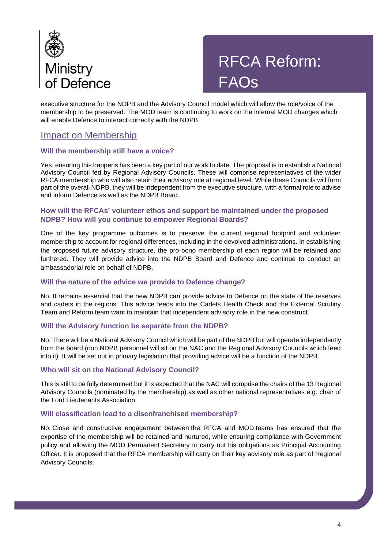

## RFCA Reform: FAQs

executive structure for the NDPB and the Advisory Council model which will allow the role/voice of the membership to be preserved. The MOD team is continuing to work on the internal MOD changes which will enable Defence to interact correctly with the NDPB

### Impact on Membership

#### **Will the membership still have a voice?**

Yes, ensuring this happens has been a key part of our work to date. The proposal is to establish a National Advisory Council fed by Regional Advisory Councils. These will comprise representatives of the wider RFCA membership who will also retain their advisory role at regional level. While these Councils will form part of the overall NDPB, they will be independent from the executive structure, with a formal role to advise and inform Defence as well as the NDPB Board.

#### **How will the RFCAs' volunteer ethos and support be maintained under the proposed NDPB? How will you continue to empower Regional Boards?**

One of the key programme outcomes is to preserve the current regional footprint and volunteer membership to account for regional differences, including in the devolved administrations. In establishing the proposed future advisory structure, the pro-bono membership of each region will be retained and furthered. They will provide advice into the NDPB Board and Defence and continue to conduct an ambassadorial role on behalf of NDPB.

#### **Will the nature of the advice we provide to Defence change?**

No. It remains essential that the new NDPB can provide advice to Defence on the state of the reserves and cadets in the regions. This advice feeds into the Cadets Health Check and the External Scrutiny Team and Reform team want to maintain that independent advisory role in the new construct.

#### **Will the Advisory function be separate from the NDPB?**

No. There will be a National Advisory Council which will be part of the NDPB but will operate independently from the board (non NDPB personnel will sit on the NAC and the Regional Advisory Councils which feed into it). It will be set out in primary legislation that providing advice will be a function of the NDPB.

#### **Who will sit on the National Advisory Council?**

This is still to be fully determined but it is expected that the NAC will comprise the chairs of the 13 Regional Advisory Councils (nominated by the membership) as well as other national representatives e.g. chair of the Lord Lieutenants Association.

#### **Will classification lead to a disenfranchised membership?**

No. Close and constructive engagement between the RFCA and MOD teams has ensured that the expertise of the membership will be retained and nurtured, while ensuring compliance with Government policy and allowing the MOD Permanent Secretary to carry out his obligations as Principal Accounting Officer. It is proposed that the RFCA membership will carry on their key advisory role as part of Regional Advisory Councils.